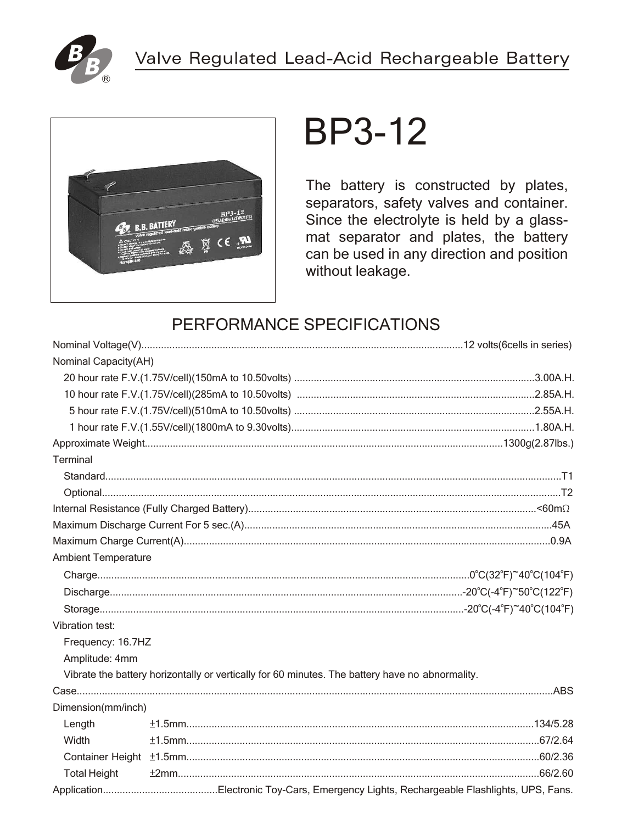



# **BP3-12**

The battery is constructed by plates, separators, safety valves and container. Since the electrolyte is held by a glassmat separator and plates, the battery can be used in any direction and position without leakage.

## PERFORMANCE SPECIFICATIONS

| Nominal Capacity(AH)       |                                                                                                 |  |
|----------------------------|-------------------------------------------------------------------------------------------------|--|
|                            |                                                                                                 |  |
|                            |                                                                                                 |  |
|                            |                                                                                                 |  |
|                            |                                                                                                 |  |
|                            |                                                                                                 |  |
| Terminal                   |                                                                                                 |  |
|                            |                                                                                                 |  |
|                            |                                                                                                 |  |
|                            |                                                                                                 |  |
|                            |                                                                                                 |  |
|                            |                                                                                                 |  |
| <b>Ambient Temperature</b> |                                                                                                 |  |
|                            |                                                                                                 |  |
|                            |                                                                                                 |  |
|                            |                                                                                                 |  |
| <b>Vibration test:</b>     |                                                                                                 |  |
| Frequency: 16.7HZ          |                                                                                                 |  |
| Amplitude: 4mm             |                                                                                                 |  |
|                            | Vibrate the battery horizontally or vertically for 60 minutes. The battery have no abnormality. |  |
|                            |                                                                                                 |  |
| Dimension(mm/inch)         |                                                                                                 |  |
| Length                     |                                                                                                 |  |
| Width                      |                                                                                                 |  |
|                            |                                                                                                 |  |
| <b>Total Height</b>        |                                                                                                 |  |
|                            |                                                                                                 |  |